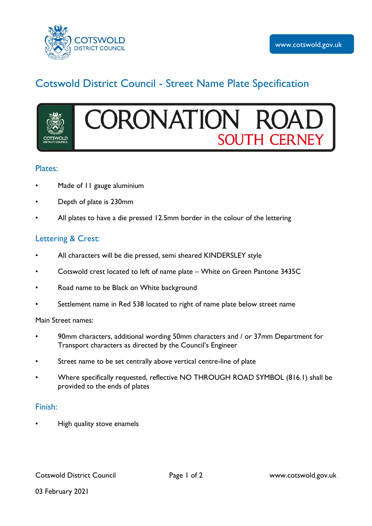

# Cotswold District Council - Street Name Plate Specification

# **CORONATION SOUTH CERNEY**

#### Plates:

- Made of 11 gauge aluminium
- Depth of plate is 230mm
- All plates to have a die pressed 12.5mm border in the colour of the lettering

### Lettering & Crest:

- All characters will be die pressed, semi sheared KINDERSLEY style
- Cotswold crest located to left of name plate White on Green Pantone 3435C
- Road name to be Black on White background
- Settlement name in Red 538 located to right of name plate below street name

Main Street names:

- 90mm characters, additional wording 50mm characters and / or 37mm Department for Transport characters as directed by the Council's Engineer
- Street name to be set centrally above vertical centre-line of plate
- Where specifically requested, reflective NO THROUGH ROAD SYMBOL (816.1) shall be provided to the ends of plates

#### Finish:

• High quality stove enamels